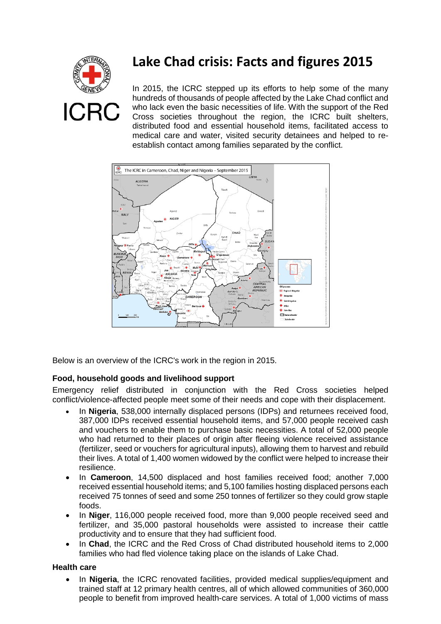

# **Lake Chad crisis: Facts and figures 2015**

In 2015, the ICRC stepped up its efforts to help some of the many hundreds of thousands of people affected by the Lake Chad conflict and who lack even the basic necessities of life. With the support of the Red Cross societies throughout the region, the ICRC built shelters, distributed food and essential household items, facilitated access to medical care and water, visited security detainees and helped to reestablish contact among families separated by the conflict.



Below is an overview of the ICRC's work in the region in 2015.

# **Food, household goods and livelihood support**

Emergency relief distributed in conjunction with the Red Cross societies helped conflict/violence-affected people meet some of their needs and cope with their displacement.

- In **Nigeria**, 538,000 internally displaced persons (IDPs) and returnees received food, 387,000 IDPs received essential household items, and 57,000 people received cash and vouchers to enable them to purchase basic necessities. A total of 52,000 people who had returned to their places of origin after fleeing violence received assistance (fertilizer, seed or vouchers for agricultural inputs), allowing them to harvest and rebuild their lives. A total of 1,400 women widowed by the conflict were helped to increase their resilience.
- In **Cameroon**, 14,500 displaced and host families received food; another 7,000 received essential household items; and 5,100 families hosting displaced persons each received 75 tonnes of seed and some 250 tonnes of fertilizer so they could grow staple foods.
- In **Niger**, 116,000 people received food, more than 9,000 people received seed and fertilizer, and 35,000 pastoral households were assisted to increase their cattle productivity and to ensure that they had sufficient food.
- In **Chad**, the ICRC and the Red Cross of Chad distributed household items to 2,000 families who had fled violence taking place on the islands of Lake Chad.

# **Health care**

• In **Nigeria**, the ICRC renovated facilities, provided medical supplies/equipment and trained staff at 12 primary health centres, all of which allowed communities of 360,000 people to benefit from improved health-care services. A total of 1,000 victims of mass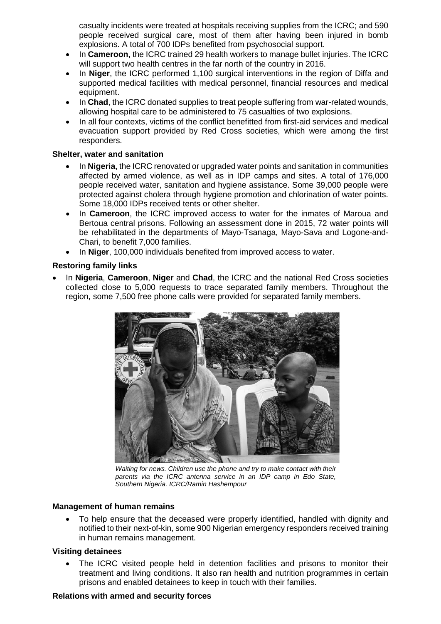casualty incidents were treated at hospitals receiving supplies from the ICRC; and 590 people received surgical care, most of them after having been injured in bomb explosions. A total of 700 IDPs benefited from psychosocial support.

- In **Cameroon,** the ICRC trained 29 health workers to manage bullet injuries. The ICRC will support two health centres in the far north of the country in 2016.
- In **Niger**, the ICRC performed 1,100 surgical interventions in the region of Diffa and supported medical facilities with medical personnel, financial resources and medical equipment.
- In **Chad**, the ICRC donated supplies to treat people suffering from war-related wounds, allowing hospital care to be administered to 75 casualties of two explosions.
- In all four contexts, victims of the conflict benefitted from first-aid services and medical evacuation support provided by Red Cross societies, which were among the first responders.

### **Shelter, water and sanitation**

- In **Nigeria**, the ICRC renovated or upgraded water points and sanitation in communities affected by armed violence, as well as in IDP camps and sites. A total of 176,000 people received water, sanitation and hygiene assistance. Some 39,000 people were protected against cholera through hygiene promotion and chlorination of water points. Some 18,000 IDPs received tents or other shelter.
- In **Cameroon**, the ICRC improved access to water for the inmates of Maroua and Bertoua central prisons. Following an assessment done in 2015, 72 water points will be rehabilitated in the departments of Mayo-Tsanaga, Mayo-Sava and Logone-and-Chari, to benefit 7,000 families.
- In **Niger**, 100,000 individuals benefited from improved access to water.

## **Restoring family links**

• In **Nigeria**, **Cameroon**, **Niger** and **Chad**, the ICRC and the national Red Cross societies collected close to 5,000 requests to trace separated family members. Throughout the region, some 7,500 free phone calls were provided for separated family members.



*Waiting for news. Children use the phone and try to make contact with their parents via the ICRC antenna service in an IDP camp in Edo State, Southern Nigeria. ICRC/Ramin Hashempour*

### **Management of human remains**

• To help ensure that the deceased were properly identified, handled with dignity and notified to their next-of-kin, some 900 Nigerian emergency responders received training in human remains management.

### **Visiting detainees**

• The ICRC visited people held in detention facilities and prisons to monitor their treatment and living conditions. It also ran health and nutrition programmes in certain prisons and enabled detainees to keep in touch with their families.

#### **Relations with armed and security forces**